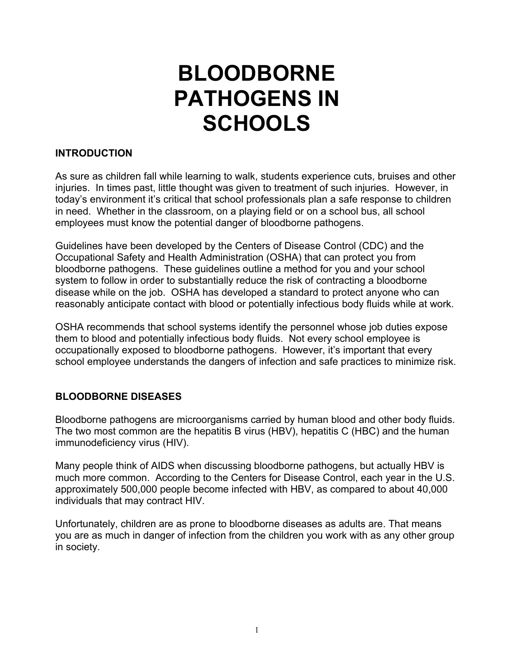# **BLOODBORNE PATHOGENS IN SCHOOLS**

#### **INTRODUCTION**

As sure as children fall while learning to walk, students experience cuts, bruises and other injuries. In times past, little thought was given to treatment of such injuries. However, in today's environment it's critical that school professionals plan a safe response to children in need. Whether in the classroom, on a playing field or on a school bus, all school employees must know the potential danger of bloodborne pathogens.

Guidelines have been developed by the Centers of Disease Control (CDC) and the Occupational Safety and Health Administration (OSHA) that can protect you from bloodborne pathogens. These guidelines outline a method for you and your school system to follow in order to substantially reduce the risk of contracting a bloodborne disease while on the job. OSHA has developed a standard to protect anyone who can reasonably anticipate contact with blood or potentially infectious body fluids while at work.

OSHA recommends that school systems identify the personnel whose job duties expose them to blood and potentially infectious body fluids. Not every school employee is occupationally exposed to bloodborne pathogens. However, it's important that every school employee understands the dangers of infection and safe practices to minimize risk.

## **BLOODBORNE DISEASES**

Bloodborne pathogens are microorganisms carried by human blood and other body fluids. The two most common are the hepatitis B virus (HBV), hepatitis C (HBC) and the human immunodeficiency virus (HIV).

Many people think of AIDS when discussing bloodborne pathogens, but actually HBV is much more common. According to the Centers for Disease Control, each year in the U.S. approximately 500,000 people become infected with HBV, as compared to about 40,000 individuals that may contract HIV.

Unfortunately, children are as prone to bloodborne diseases as adults are. That means you are as much in danger of infection from the children you work with as any other group in society.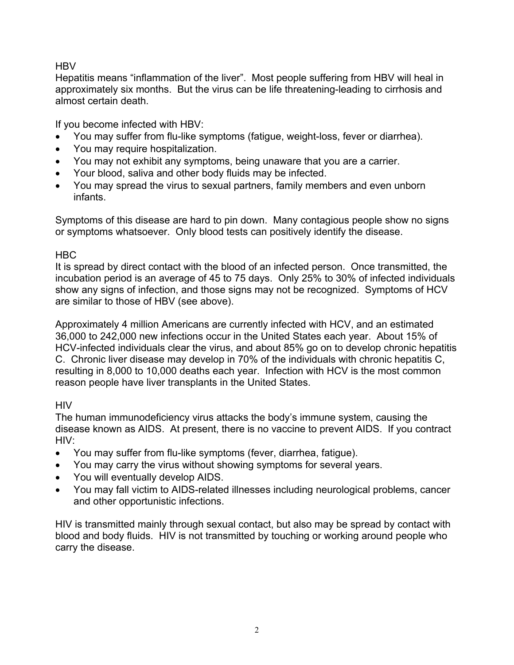## **HBV**

Hepatitis means "inflammation of the liver". Most people suffering from HBV will heal in approximately six months. But the virus can be life threatening-leading to cirrhosis and almost certain death.

If you become infected with HBV:

- You may suffer from flu-like symptoms (fatigue, weight-loss, fever or diarrhea).
- You may require hospitalization.
- You may not exhibit any symptoms, being unaware that you are a carrier.
- Your blood, saliva and other body fluids may be infected.
- You may spread the virus to sexual partners, family members and even unborn infants.

Symptoms of this disease are hard to pin down. Many contagious people show no signs or symptoms whatsoever. Only blood tests can positively identify the disease.

## HBC

It is spread by direct contact with the blood of an infected person. Once transmitted, the incubation period is an average of 45 to 75 days. Only 25% to 30% of infected individuals show any signs of infection, and those signs may not be recognized. Symptoms of HCV are similar to those of HBV (see above).

Approximately 4 million Americans are currently infected with HCV, and an estimated 36,000 to 242,000 new infections occur in the United States each year. About 15% of HCV-infected individuals clear the virus, and about 85% go on to develop chronic hepatitis C. Chronic liver disease may develop in 70% of the individuals with chronic hepatitis C, resulting in 8,000 to 10,000 deaths each year. Infection with HCV is the most common reason people have liver transplants in the United States.

# **HIV**

The human immunodeficiency virus attacks the body's immune system, causing the disease known as AIDS. At present, there is no vaccine to prevent AIDS. If you contract HIV:

- You may suffer from flu-like symptoms (fever, diarrhea, fatigue).
- You may carry the virus without showing symptoms for several years.
- You will eventually develop AIDS.
- You may fall victim to AIDS-related illnesses including neurological problems, cancer and other opportunistic infections.

HIV is transmitted mainly through sexual contact, but also may be spread by contact with blood and body fluids. HIV is not transmitted by touching or working around people who carry the disease.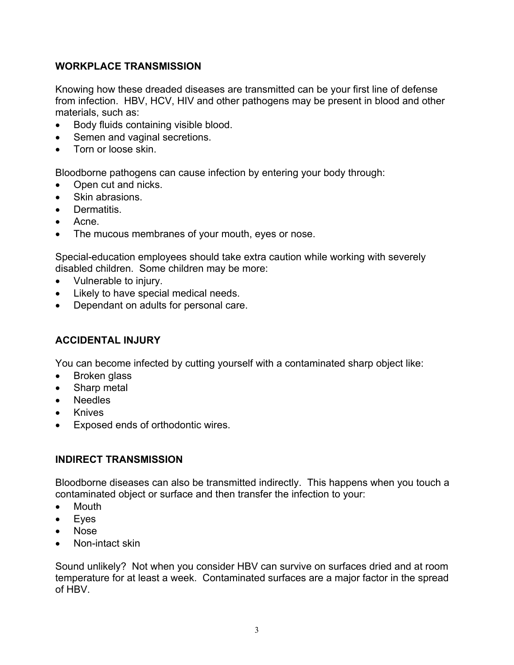## **WORKPLACE TRANSMISSION**

Knowing how these dreaded diseases are transmitted can be your first line of defense from infection. HBV, HCV, HIV and other pathogens may be present in blood and other materials, such as:

- Body fluids containing visible blood.
- Semen and vaginal secretions.
- Torn or loose skin.

Bloodborne pathogens can cause infection by entering your body through:

- Open cut and nicks.
- Skin abrasions.
- Dermatitis.
- Acne.
- The mucous membranes of your mouth, eyes or nose.

Special-education employees should take extra caution while working with severely disabled children. Some children may be more:

- Vulnerable to injury.
- Likely to have special medical needs.
- Dependant on adults for personal care.

## **ACCIDENTAL INJURY**

You can become infected by cutting yourself with a contaminated sharp object like:

- Broken glass
- Sharp metal
- Needles
- **Knives**
- Exposed ends of orthodontic wires.

## **INDIRECT TRANSMISSION**

Bloodborne diseases can also be transmitted indirectly. This happens when you touch a contaminated object or surface and then transfer the infection to your:

- Mouth
- Eyes
- Nose
- Non-intact skin

Sound unlikely? Not when you consider HBV can survive on surfaces dried and at room temperature for at least a week. Contaminated surfaces are a major factor in the spread of HBV.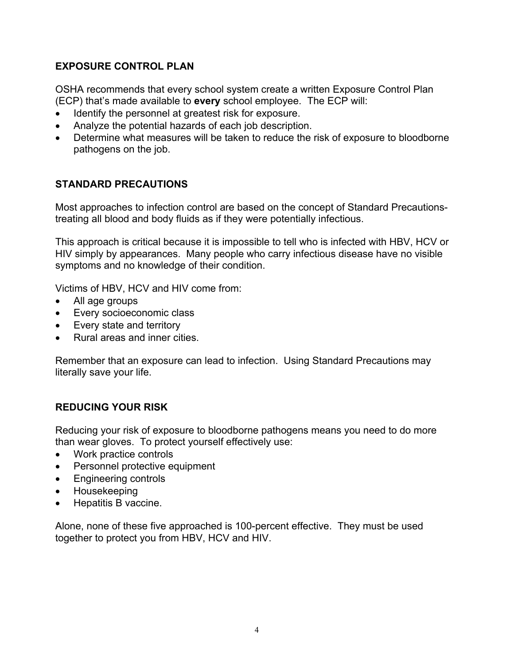# **EXPOSURE CONTROL PLAN**

OSHA recommends that every school system create a written Exposure Control Plan (ECP) that's made available to **every** school employee. The ECP will:

- Identify the personnel at greatest risk for exposure.
- Analyze the potential hazards of each job description.
- Determine what measures will be taken to reduce the risk of exposure to bloodborne pathogens on the job.

# **STANDARD PRECAUTIONS**

Most approaches to infection control are based on the concept of Standard Precautionstreating all blood and body fluids as if they were potentially infectious.

This approach is critical because it is impossible to tell who is infected with HBV, HCV or HIV simply by appearances. Many people who carry infectious disease have no visible symptoms and no knowledge of their condition.

Victims of HBV, HCV and HIV come from:

- All age groups
- Every socioeconomic class
- Every state and territory
- Rural areas and inner cities.

Remember that an exposure can lead to infection. Using Standard Precautions may literally save your life.

# **REDUCING YOUR RISK**

Reducing your risk of exposure to bloodborne pathogens means you need to do more than wear gloves. To protect yourself effectively use:

- Work practice controls
- Personnel protective equipment
- Engineering controls
- Housekeeping
- Hepatitis B vaccine.

Alone, none of these five approached is 100-percent effective. They must be used together to protect you from HBV, HCV and HIV.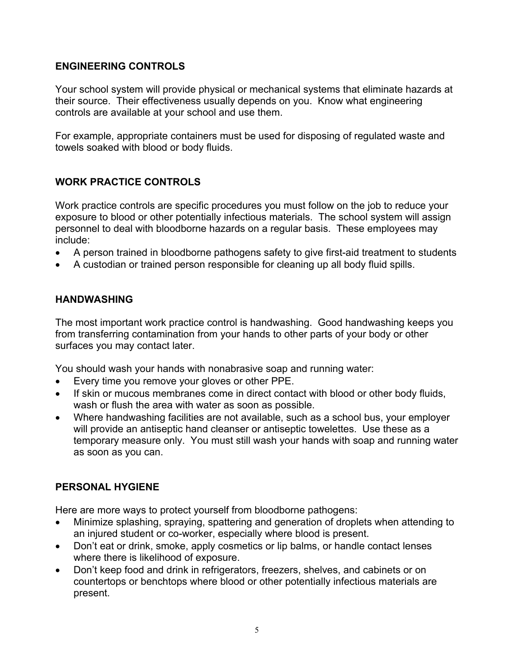## **ENGINEERING CONTROLS**

Your school system will provide physical or mechanical systems that eliminate hazards at their source. Their effectiveness usually depends on you. Know what engineering controls are available at your school and use them.

For example, appropriate containers must be used for disposing of regulated waste and towels soaked with blood or body fluids.

# **WORK PRACTICE CONTROLS**

Work practice controls are specific procedures you must follow on the job to reduce your exposure to blood or other potentially infectious materials. The school system will assign personnel to deal with bloodborne hazards on a regular basis. These employees may include:

- A person trained in bloodborne pathogens safety to give first-aid treatment to students
- A custodian or trained person responsible for cleaning up all body fluid spills.

## **HANDWASHING**

The most important work practice control is handwashing. Good handwashing keeps you from transferring contamination from your hands to other parts of your body or other surfaces you may contact later.

You should wash your hands with nonabrasive soap and running water:

- Every time you remove your gloves or other PPE.
- If skin or mucous membranes come in direct contact with blood or other body fluids, wash or flush the area with water as soon as possible.
- Where handwashing facilities are not available, such as a school bus, your employer will provide an antiseptic hand cleanser or antiseptic towelettes. Use these as a temporary measure only. You must still wash your hands with soap and running water as soon as you can.

## **PERSONAL HYGIENE**

Here are more ways to protect yourself from bloodborne pathogens:

- Minimize splashing, spraying, spattering and generation of droplets when attending to an injured student or co-worker, especially where blood is present.
- Don't eat or drink, smoke, apply cosmetics or lip balms, or handle contact lenses where there is likelihood of exposure.
- Don't keep food and drink in refrigerators, freezers, shelves, and cabinets or on countertops or benchtops where blood or other potentially infectious materials are present.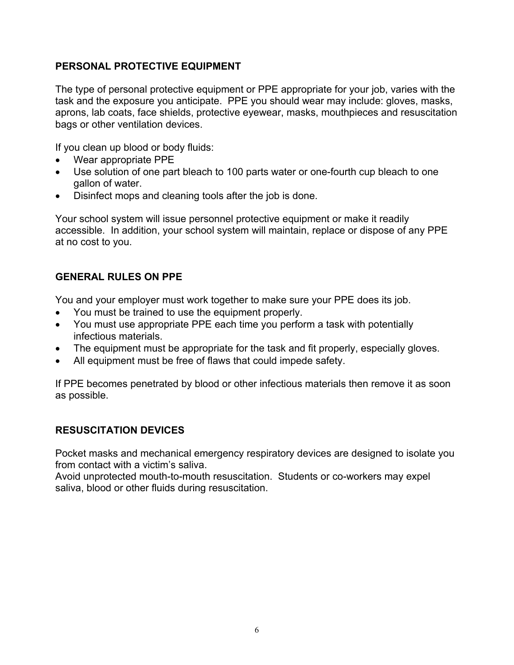## **PERSONAL PROTECTIVE EQUIPMENT**

The type of personal protective equipment or PPE appropriate for your job, varies with the task and the exposure you anticipate. PPE you should wear may include: gloves, masks, aprons, lab coats, face shields, protective eyewear, masks, mouthpieces and resuscitation bags or other ventilation devices.

If you clean up blood or body fluids:

- Wear appropriate PPE
- Use solution of one part bleach to 100 parts water or one-fourth cup bleach to one gallon of water.
- Disinfect mops and cleaning tools after the job is done.

Your school system will issue personnel protective equipment or make it readily accessible. In addition, your school system will maintain, replace or dispose of any PPE at no cost to you.

# **GENERAL RULES ON PPE**

You and your employer must work together to make sure your PPE does its job.

- You must be trained to use the equipment properly.
- You must use appropriate PPE each time you perform a task with potentially infectious materials.
- The equipment must be appropriate for the task and fit properly, especially gloves.
- All equipment must be free of flaws that could impede safety.

If PPE becomes penetrated by blood or other infectious materials then remove it as soon as possible.

## **RESUSCITATION DEVICES**

Pocket masks and mechanical emergency respiratory devices are designed to isolate you from contact with a victim's saliva.

Avoid unprotected mouth-to-mouth resuscitation. Students or co-workers may expel saliva, blood or other fluids during resuscitation.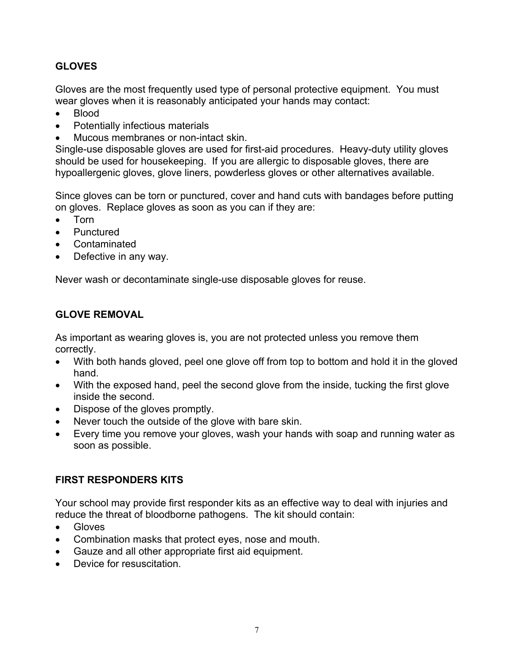# **GLOVES**

Gloves are the most frequently used type of personal protective equipment. You must wear gloves when it is reasonably anticipated your hands may contact:

- Blood
- Potentially infectious materials
- Mucous membranes or non-intact skin.

Single-use disposable gloves are used for first-aid procedures. Heavy-duty utility gloves should be used for housekeeping. If you are allergic to disposable gloves, there are hypoallergenic gloves, glove liners, powderless gloves or other alternatives available.

Since gloves can be torn or punctured, cover and hand cuts with bandages before putting on gloves. Replace gloves as soon as you can if they are:

- Torn
- Punctured
- **Contaminated**
- Defective in any way.

Never wash or decontaminate single-use disposable gloves for reuse.

#### **GLOVE REMOVAL**

As important as wearing gloves is, you are not protected unless you remove them correctly.

- With both hands gloved, peel one glove off from top to bottom and hold it in the gloved hand.
- With the exposed hand, peel the second glove from the inside, tucking the first glove inside the second.
- Dispose of the gloves promptly.
- Never touch the outside of the glove with bare skin.
- Every time you remove your gloves, wash your hands with soap and running water as soon as possible.

## **FIRST RESPONDERS KITS**

Your school may provide first responder kits as an effective way to deal with injuries and reduce the threat of bloodborne pathogens. The kit should contain:

- Gloves
- Combination masks that protect eyes, nose and mouth.
- Gauze and all other appropriate first aid equipment.
- Device for resuscitation.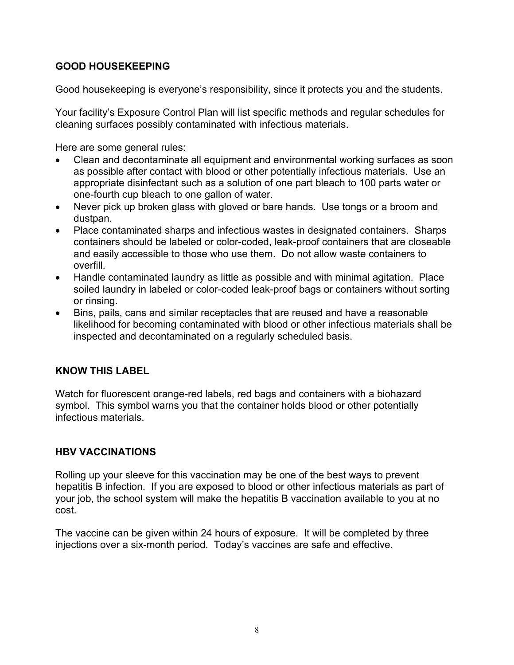# **GOOD HOUSEKEEPING**

Good housekeeping is everyone's responsibility, since it protects you and the students.

Your facility's Exposure Control Plan will list specific methods and regular schedules for cleaning surfaces possibly contaminated with infectious materials.

Here are some general rules:

- Clean and decontaminate all equipment and environmental working surfaces as soon as possible after contact with blood or other potentially infectious materials. Use an appropriate disinfectant such as a solution of one part bleach to 100 parts water or one-fourth cup bleach to one gallon of water.
- Never pick up broken glass with gloved or bare hands. Use tongs or a broom and dustpan.
- Place contaminated sharps and infectious wastes in designated containers. Sharps containers should be labeled or color-coded, leak-proof containers that are closeable and easily accessible to those who use them. Do not allow waste containers to overfill.
- Handle contaminated laundry as little as possible and with minimal agitation. Place soiled laundry in labeled or color-coded leak-proof bags or containers without sorting or rinsing.
- Bins, pails, cans and similar receptacles that are reused and have a reasonable likelihood for becoming contaminated with blood or other infectious materials shall be inspected and decontaminated on a regularly scheduled basis.

## **KNOW THIS LABEL**

Watch for fluorescent orange-red labels, red bags and containers with a biohazard symbol. This symbol warns you that the container holds blood or other potentially infectious materials.

# **HBV VACCINATIONS**

Rolling up your sleeve for this vaccination may be one of the best ways to prevent hepatitis B infection. If you are exposed to blood or other infectious materials as part of your job, the school system will make the hepatitis B vaccination available to you at no cost.

The vaccine can be given within 24 hours of exposure. It will be completed by three injections over a six-month period. Today's vaccines are safe and effective.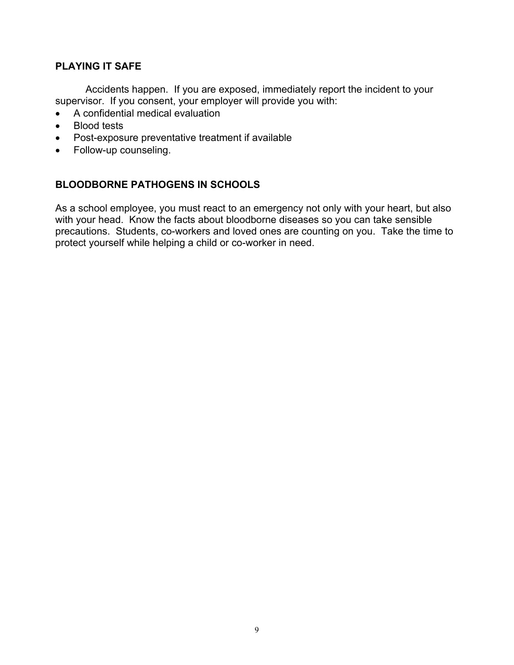## **PLAYING IT SAFE**

Accidents happen. If you are exposed, immediately report the incident to your supervisor. If you consent, your employer will provide you with:

- A confidential medical evaluation
- Blood tests
- Post-exposure preventative treatment if available
- Follow-up counseling.

#### **BLOODBORNE PATHOGENS IN SCHOOLS**

As a school employee, you must react to an emergency not only with your heart, but also with your head. Know the facts about bloodborne diseases so you can take sensible precautions. Students, co-workers and loved ones are counting on you. Take the time to protect yourself while helping a child or co-worker in need.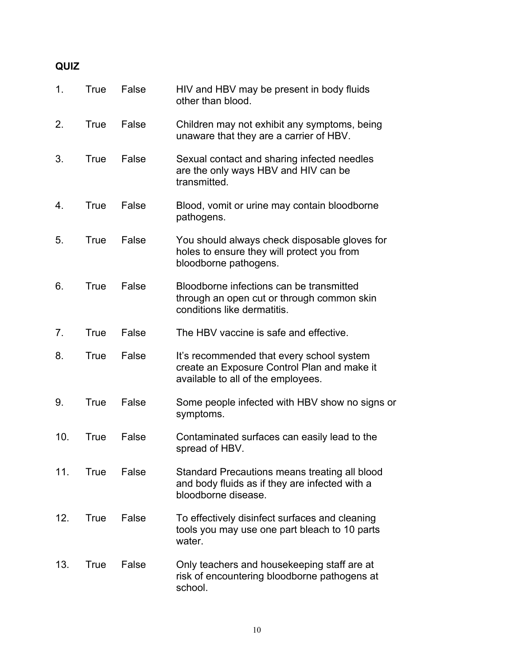| ×<br>۰. |  |
|---------|--|
|---------|--|

| 1.  | True | False | HIV and HBV may be present in body fluids<br>other than blood.                                                                 |
|-----|------|-------|--------------------------------------------------------------------------------------------------------------------------------|
| 2.  | True | False | Children may not exhibit any symptoms, being<br>unaware that they are a carrier of HBV.                                        |
| 3.  | True | False | Sexual contact and sharing infected needles<br>are the only ways HBV and HIV can be<br>transmitted.                            |
| 4.  | True | False | Blood, vomit or urine may contain bloodborne<br>pathogens.                                                                     |
| 5.  | True | False | You should always check disposable gloves for<br>holes to ensure they will protect you from<br>bloodborne pathogens.           |
| 6.  | True | False | Bloodborne infections can be transmitted<br>through an open cut or through common skin<br>conditions like dermatitis.          |
| 7.  | True | False | The HBV vaccine is safe and effective.                                                                                         |
| 8.  | True | False | It's recommended that every school system<br>create an Exposure Control Plan and make it<br>available to all of the employees. |
| 9.  | True | False | Some people infected with HBV show no signs or<br>symptoms.                                                                    |
| 10. | True | False | Contaminated surfaces can easily lead to the<br>spread of HBV.                                                                 |
| 11. | True | False | Standard Precautions means treating all blood<br>and body fluids as if they are infected with a<br>bloodborne disease.         |
| 12. | True | False | To effectively disinfect surfaces and cleaning<br>tools you may use one part bleach to 10 parts<br>water.                      |
| 13. | True | False | Only teachers and housekeeping staff are at<br>risk of encountering bloodborne pathogens at<br>school.                         |